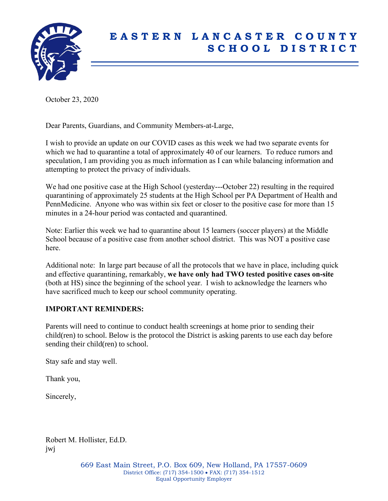

## **E A S T E R N L A N C A S T E R C O U N T Y S C H O O L D I S T R I C T**

October 23, 2020

Dear Parents, Guardians, and Community Members-at-Large,

I wish to provide an update on our COVID cases as this week we had two separate events for which we had to quarantine a total of approximately 40 of our learners. To reduce rumors and speculation, I am providing you as much information as I can while balancing information and attempting to protect the privacy of individuals.

We had one positive case at the High School (yesterday---October 22) resulting in the required quarantining of approximately 25 students at the High School per PA Department of Health and PennMedicine. Anyone who was within six feet or closer to the positive case for more than 15 minutes in a 24-hour period was contacted and quarantined.

Note: Earlier this week we had to quarantine about 15 learners (soccer players) at the Middle School because of a positive case from another school district. This was NOT a positive case here.

Additional note: In large part because of all the protocols that we have in place, including quick and effective quarantining, remarkably, **we have only had TWO tested positive cases on-site** (both at HS) since the beginning of the school year. I wish to acknowledge the learners who have sacrificed much to keep our school community operating.

## **IMPORTANT REMINDERS:**

Parents will need to continue to conduct health screenings at home prior to sending their child(ren) to school. Below is the protocol the District is asking parents to use each day before sending their child(ren) to school.

Stay safe and stay well.

Thank you,

Sincerely,

Robert M. Hollister, Ed.D. jwj